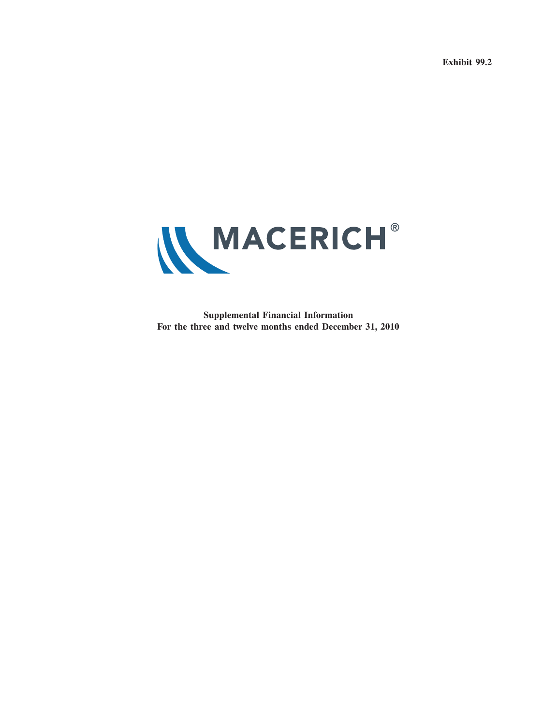**Exhibit 99.2**



**Supplemental Financial Information For the three and twelve months ended December 31, 2010**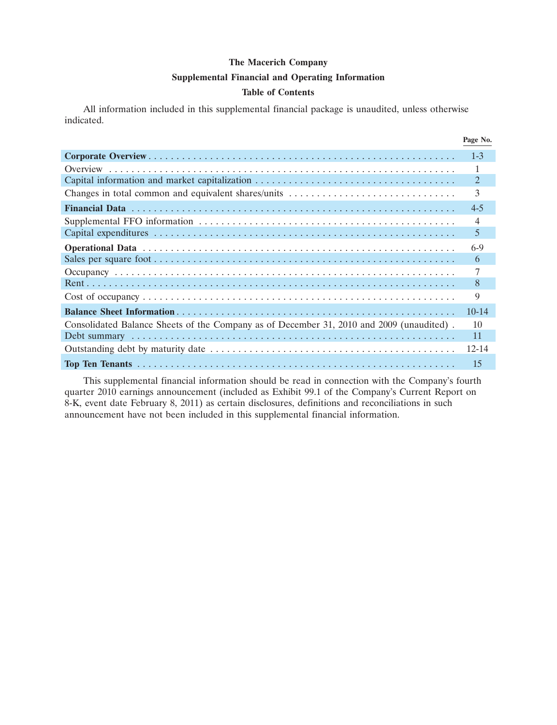#### **Supplemental Financial and Operating Information**

#### **Table of Contents**

All information included in this supplemental financial package is unaudited, unless otherwise indicated.

|                                                                                          | Page No.       |
|------------------------------------------------------------------------------------------|----------------|
|                                                                                          | $1 - 3$        |
|                                                                                          |                |
|                                                                                          | $\overline{2}$ |
|                                                                                          | 3              |
|                                                                                          | $4 - 5$        |
|                                                                                          | 4              |
|                                                                                          | 5              |
|                                                                                          | $6-9$          |
|                                                                                          | 6              |
|                                                                                          |                |
|                                                                                          | 8              |
|                                                                                          | 9              |
|                                                                                          | $10 - 14$      |
| Consolidated Balance Sheets of the Company as of December 31, 2010 and 2009 (unaudited). | 10             |
|                                                                                          | 11             |
|                                                                                          | $12 - 14$      |
|                                                                                          | 15             |

This supplemental financial information should be read in connection with the Company's fourth quarter 2010 earnings announcement (included as Exhibit 99.1 of the Company's Current Report on 8-K, event date February 8, 2011) as certain disclosures, definitions and reconciliations in such announcement have not been included in this supplemental financial information.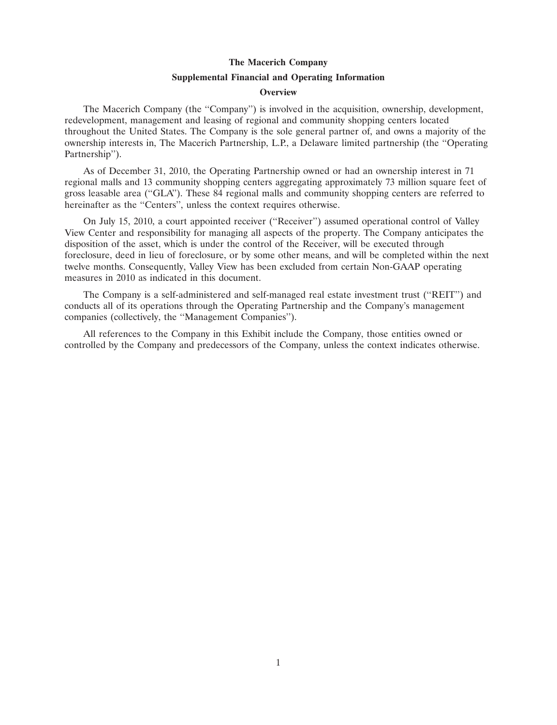#### **Supplemental Financial and Operating Information**

#### **Overview**

The Macerich Company (the ''Company'') is involved in the acquisition, ownership, development, redevelopment, management and leasing of regional and community shopping centers located throughout the United States. The Company is the sole general partner of, and owns a majority of the ownership interests in, The Macerich Partnership, L.P., a Delaware limited partnership (the ''Operating Partnership'').

As of December 31, 2010, the Operating Partnership owned or had an ownership interest in 71 regional malls and 13 community shopping centers aggregating approximately 73 million square feet of gross leasable area (''GLA''). These 84 regional malls and community shopping centers are referred to hereinafter as the "Centers", unless the context requires otherwise.

On July 15, 2010, a court appointed receiver (''Receiver'') assumed operational control of Valley View Center and responsibility for managing all aspects of the property. The Company anticipates the disposition of the asset, which is under the control of the Receiver, will be executed through foreclosure, deed in lieu of foreclosure, or by some other means, and will be completed within the next twelve months. Consequently, Valley View has been excluded from certain Non-GAAP operating measures in 2010 as indicated in this document.

The Company is a self-administered and self-managed real estate investment trust (''REIT'') and conducts all of its operations through the Operating Partnership and the Company's management companies (collectively, the ''Management Companies'').

All references to the Company in this Exhibit include the Company, those entities owned or controlled by the Company and predecessors of the Company, unless the context indicates otherwise.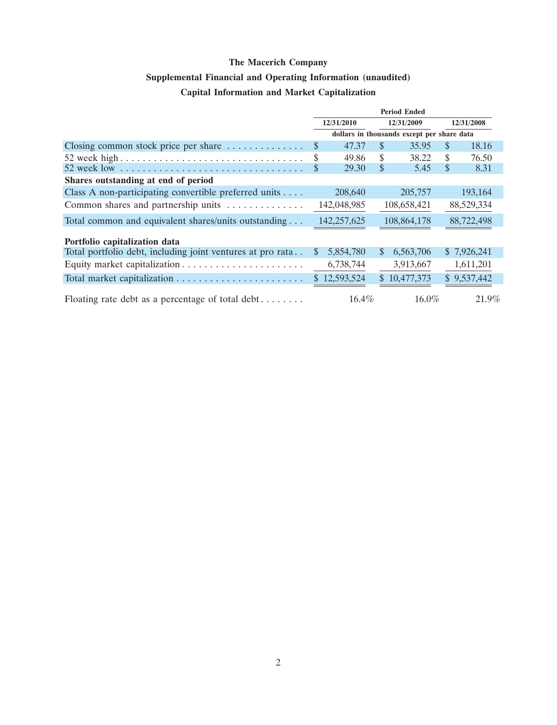# **Supplemental Financial and Operating Information (unaudited)**

# **Capital Information and Market Capitalization**

|                                                            | <b>Period Ended</b> |              |              |                                            |               |             |
|------------------------------------------------------------|---------------------|--------------|--------------|--------------------------------------------|---------------|-------------|
|                                                            | 12/31/2010          |              | 12/31/2009   |                                            | 12/31/2008    |             |
|                                                            |                     |              |              | dollars in thousands except per share data |               |             |
| Closing common stock price per share $\dots \dots \dots$   | S                   | 47.37        | \$           | 35.95                                      | <sup>\$</sup> | 18.16       |
|                                                            | S                   | 49.86        | \$           | 38.22                                      | \$            | 76.50       |
|                                                            |                     | 29.30        | \$           | 5.45                                       | \$            | 8.31        |
| Shares outstanding at end of period                        |                     |              |              |                                            |               |             |
| Class A non-participating convertible preferred units      |                     | 208,640      |              | 205,757                                    |               | 193,164     |
| Common shares and partnership units                        |                     | 142,048,985  |              | 108,658,421                                |               | 88,529,334  |
| Total common and equivalent shares/units outstanding       |                     | 142,257,625  |              | 108,864,178                                |               | 88,722,498  |
| Portfolio capitalization data                              |                     |              |              |                                            |               |             |
| Total portfolio debt, including joint ventures at pro rata | <sup>S</sup>        | 5,854,780    | $\mathbb{S}$ | 6,563,706                                  |               | \$7,926,241 |
|                                                            |                     | 6,738,744    |              | 3,913,667                                  |               | 1,611,201   |
|                                                            |                     | \$12,593,524 |              | \$10,477,373                               |               | \$9,537,442 |
| Floating rate debt as a percentage of total debt           |                     | 16.4%        |              | $16.0\%$                                   |               | 21.9%       |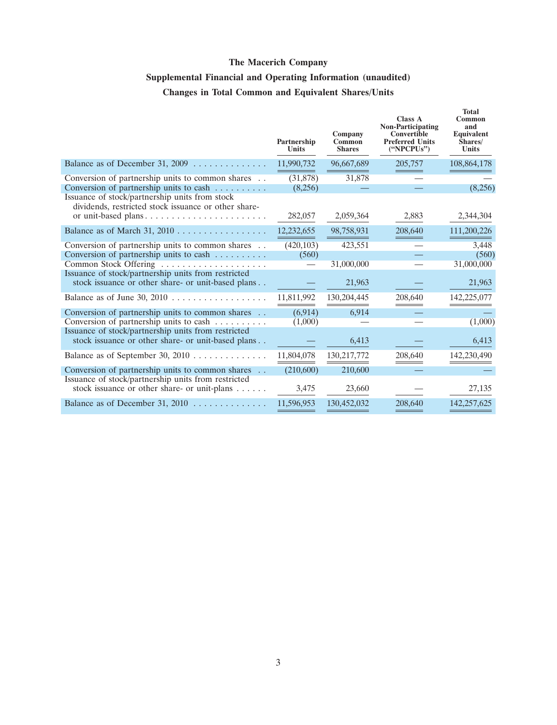# **Supplemental Financial and Operating Information (unaudited) Changes in Total Common and Equivalent Shares/Units**

|                                                                                                                                               | Partnership<br><b>Units</b> | Company<br>Common<br><b>Shares</b> | <b>Class A</b><br><b>Non-Participating</b><br>Convertible<br><b>Preferred Units</b><br>("NPCPUs") | <b>Total</b><br>Common<br>and<br>Equivalent<br>Shares/<br>Units |
|-----------------------------------------------------------------------------------------------------------------------------------------------|-----------------------------|------------------------------------|---------------------------------------------------------------------------------------------------|-----------------------------------------------------------------|
| Balance as of December 31, 2009 $\dots \dots \dots \dots$                                                                                     | 11,990,732                  | 96,667,689                         | 205,757                                                                                           | 108,864,178                                                     |
| Conversion of partnership units to common shares<br>Conversion of partnership units to cash<br>Issuance of stock/partnership units from stock | (31,878)<br>(8,256)         | 31,878                             |                                                                                                   | (8,256)                                                         |
| dividends, restricted stock issuance or other share-<br>or unit-based plans                                                                   | 282,057                     | 2,059,364                          | 2,883                                                                                             | 2,344,304                                                       |
| Balance as of March 31, 2010                                                                                                                  | 12,232,655                  | 98,758,931                         | 208,640                                                                                           | 111,200,226                                                     |
| Conversion of partnership units to common shares<br>Conversion of partnership units to cash $\dots \dots$<br>Common Stock Offering            | (420, 103)<br>(560)         | 423,551<br>31,000,000              |                                                                                                   | 3,448<br>(560)<br>31,000,000                                    |
| Issuance of stock/partnership units from restricted<br>stock issuance or other share- or unit-based plans                                     |                             | 21,963                             |                                                                                                   | 21,963                                                          |
| Balance as of June 30, 2010 $\ldots \ldots \ldots \ldots \ldots$                                                                              | 11,811,992                  | 130, 204, 445                      | 208,640                                                                                           | 142,225,077                                                     |
| Conversion of partnership units to common shares<br>Conversion of partnership units to cash                                                   | (6,914)<br>(1,000)          | 6,914                              |                                                                                                   | (1,000)                                                         |
| Issuance of stock/partnership units from restricted<br>stock issuance or other share- or unit-based plans                                     |                             | 6,413                              |                                                                                                   | 6,413                                                           |
| Balance as of September 30, 2010                                                                                                              | 11,804,078                  | 130,217,772                        | 208,640                                                                                           | 142,230,490                                                     |
| Conversion of partnership units to common shares                                                                                              | (210,600)                   | 210,600                            |                                                                                                   |                                                                 |
| Issuance of stock/partnership units from restricted<br>stock issuance or other share- or unit-plans                                           | 3,475                       | 23,660                             |                                                                                                   | 27,135                                                          |
| Balance as of December 31, 2010 $\ldots \ldots \ldots \ldots$                                                                                 | 11,596,953                  | 130,452,032                        | 208,640                                                                                           | 142,257,625                                                     |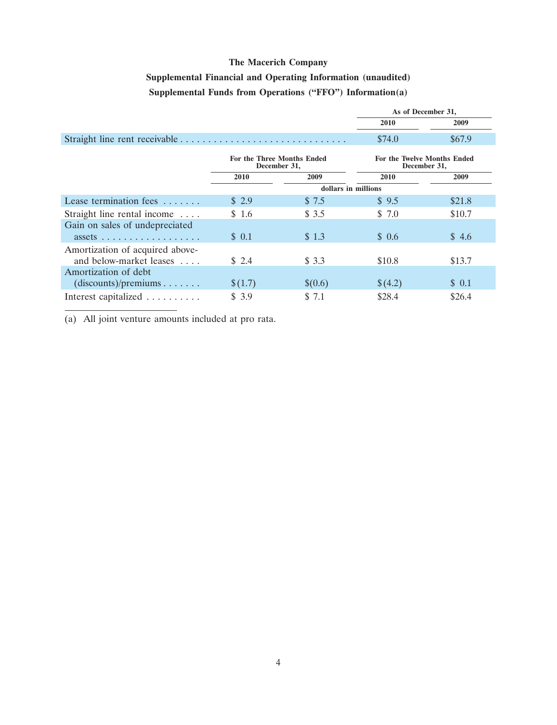# **Supplemental Financial and Operating Information (unaudited) Supplemental Funds from Operations (''FFO'') Information(a)**

|                                                                               |                     |                                    | As of December 31, |        |  |
|-------------------------------------------------------------------------------|---------------------|------------------------------------|--------------------|--------|--|
|                                                                               |                     |                                    | 2010               | 2009   |  |
|                                                                               |                     |                                    | \$74.0             | \$67.9 |  |
| For the Three Months Ended<br>December 31,                                    |                     | <b>For the Twelve Months Ended</b> | December 31,       |        |  |
|                                                                               | 2010                | 2009                               | 2010               | 2009   |  |
|                                                                               | dollars in millions |                                    |                    |        |  |
| Lease termination fees                                                        | \$2.9               | \$7.5                              | \$9.5              | \$21.8 |  |
| Straight line rental income                                                   | \$1.6               | \$3.5                              | \$7.0              | \$10.7 |  |
| Gain on sales of undepreciated<br>$assets \ldots \ldots \ldots \ldots \ldots$ | \$ 0.1              | \$1.3                              | \$0.6              | \$4.6  |  |
| Amortization of acquired above-                                               |                     |                                    |                    |        |  |
| and below-market leases                                                       | \$2.4               | \$3.3                              | \$10.8             | \$13.7 |  |
| Amortization of debt<br>(discounts)/preminus                                  | \$(1.7)             | \$(0.6)                            | \$(4.2)            | \$0.1  |  |
| Interest capitalized                                                          | \$3.9               | \$ 7.1                             | \$28.4             | \$26.4 |  |

(a) All joint venture amounts included at pro rata.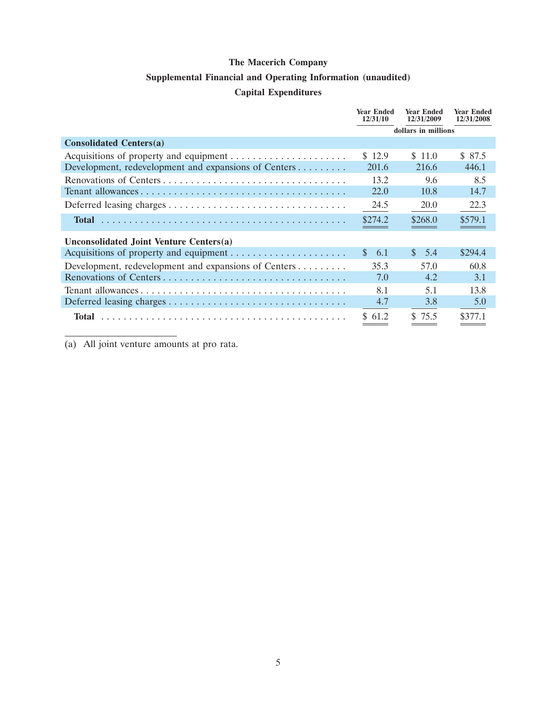### **Supplemental Financial and Operating Information (unaudited)**

#### **Capital Expenditures**

|                                                      | <b>Year Ended</b><br>12/31/10 | <b>Year Ended</b><br>12/31/2009 | <b>Year Ended</b><br>12/31/2008 |
|------------------------------------------------------|-------------------------------|---------------------------------|---------------------------------|
|                                                      | dollars in millions           |                                 |                                 |
| <b>Consolidated Centers(a)</b>                       |                               |                                 |                                 |
|                                                      | \$12.9                        | \$ 11.0                         | \$ 87.5                         |
| Development, redevelopment and expansions of Centers | 201.6                         | 216.6                           | 446.1                           |
|                                                      | 13.2                          | 9.6                             | 8.5                             |
|                                                      | 22.0                          | 10.8                            | 14.7                            |
|                                                      | 24.5                          | 20.0                            | 22.3                            |
| <b>Total</b>                                         | \$274.2                       | \$268.0                         | \$579.1                         |
| Unconsolidated Joint Venture Centers(a)              |                               |                                 |                                 |
|                                                      | $\mathbf{s}$<br>-6.1          | $\mathbf{s}$<br>- 5.4           | \$294.4                         |
| Development, redevelopment and expansions of Centers | 35.3                          | 57.0                            | 60.8                            |
|                                                      | 7.0                           | 4.2                             | 3.1                             |
|                                                      | 8.1                           | 5.1                             | 13.8                            |
|                                                      | 4.7                           | 3.8                             | 5.0                             |
| Total                                                | \$ 61.2                       | \$75.5                          | \$377.1                         |

(a) All joint venture amounts at pro rata.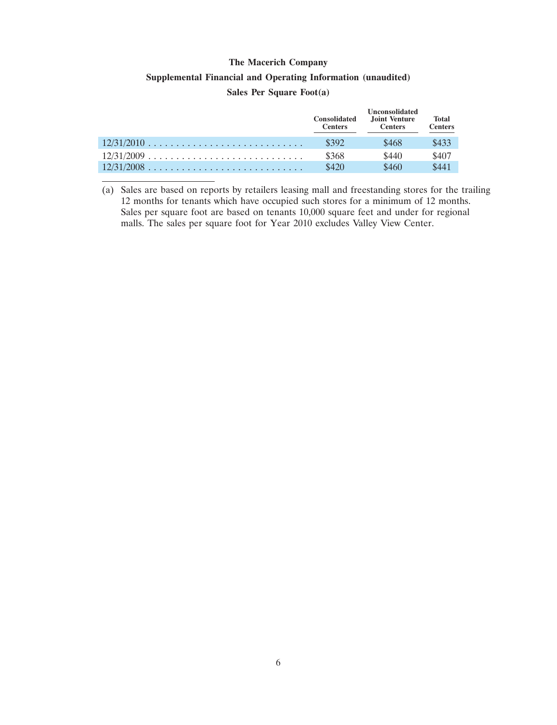# **Supplemental Financial and Operating Information (unaudited)**

#### **Sales Per Square Foot(a)**

|              | <b>Consolidated</b><br><b>Centers</b> | <b>Unconsolidated</b><br>Joint Venture<br><b>Centers</b> | <b>Total</b><br><b>Centers</b> |
|--------------|---------------------------------------|----------------------------------------------------------|--------------------------------|
| $12/31/2010$ | \$392                                 | \$468                                                    | \$433                          |
|              | \$368                                 | \$440                                                    | \$407                          |
|              | \$420                                 | \$460                                                    | \$441                          |

(a) Sales are based on reports by retailers leasing mall and freestanding stores for the trailing 12 months for tenants which have occupied such stores for a minimum of 12 months. Sales per square foot are based on tenants 10,000 square feet and under for regional malls. The sales per square foot for Year 2010 excludes Valley View Center.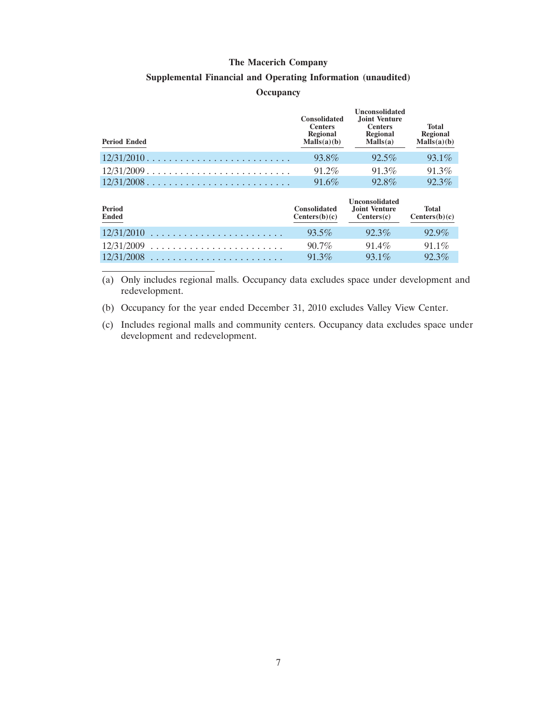#### **Supplemental Financial and Operating Information (unaudited)**

#### **Occupancy**

| <b>Period Ended</b>    | <b>Consolidated</b><br><b>Centers</b><br>Regional<br>Malls(a)(b) | <b>Unconsolidated</b><br>Joint Venture<br><b>Centers</b><br>Regional<br>Malls(a) | <b>Total</b><br><b>Regional</b><br>Malls(a)(b) |
|------------------------|------------------------------------------------------------------|----------------------------------------------------------------------------------|------------------------------------------------|
| $12/31/2010$           | 93.8%                                                            | $92.5\%$                                                                         | $93.1\%$                                       |
| $12/31/2009$           | 91.2%                                                            | 91.3%                                                                            | $91.3\%$                                       |
| $12/31/2008$           | $91.6\%$                                                         | 92.8%                                                                            | $92.3\%$                                       |
| Period<br><b>Ended</b> | <b>Consolidated</b><br>Centers(b)(c)                             | <b>Unconsolidated</b><br><b>Joint Venture</b><br>Centers(c)                      | <b>Total</b><br>Centers(b)(c)                  |
| 12/31/2010             | $93.5\%$                                                         | $92.3\%$                                                                         | 92.9%                                          |
| 12/31/2009             | $90.7\%$                                                         | $91.4\%$                                                                         | $91.1\%$                                       |
| $12/31/2008$           | $91.3\%$                                                         | $93.1\%$                                                                         | 92.3%                                          |

(a) Only includes regional malls. Occupancy data excludes space under development and redevelopment.

(b) Occupancy for the year ended December 31, 2010 excludes Valley View Center.

(c) Includes regional malls and community centers. Occupancy data excludes space under development and redevelopment.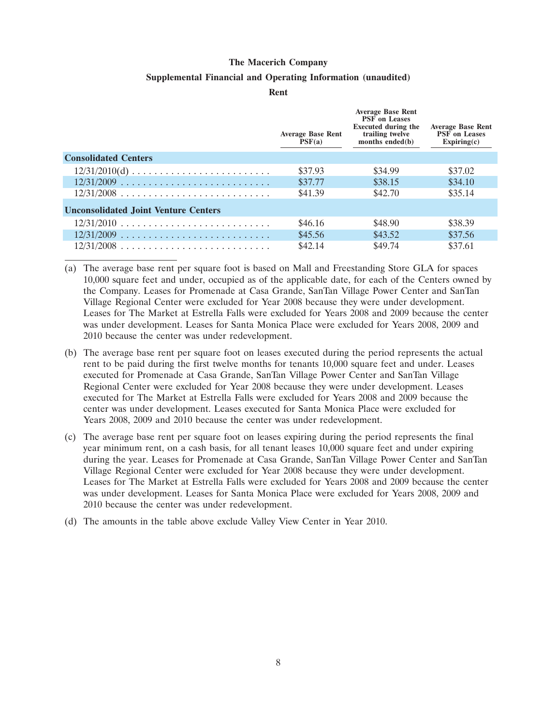#### **Supplemental Financial and Operating Information (unaudited)**

**Rent**

|                                                                  | <b>Average Base Rent</b><br>PSF(a) | <b>Average Base Rent</b><br><b>PSF</b> on Leases<br><b>Executed during the</b><br>trailing twelve<br>months ended $(b)$ | <b>Average Base Rent</b><br><b>PSF</b> on Leases<br>Expiring(c) |
|------------------------------------------------------------------|------------------------------------|-------------------------------------------------------------------------------------------------------------------------|-----------------------------------------------------------------|
| <b>Consolidated Centers</b>                                      |                                    |                                                                                                                         |                                                                 |
| $12/31/2010(d) \ldots \ldots \ldots \ldots \ldots \ldots \ldots$ | \$37.93                            | \$34.99                                                                                                                 | \$37.02                                                         |
|                                                                  | \$37.77                            | \$38.15                                                                                                                 | \$34.10                                                         |
| $12/31/2008$                                                     | \$41.39                            | \$42.70                                                                                                                 | \$35.14                                                         |
| <b>Unconsolidated Joint Venture Centers</b>                      |                                    |                                                                                                                         |                                                                 |
| $12/31/2010$                                                     | \$46.16                            | \$48.90                                                                                                                 | \$38.39                                                         |
|                                                                  | \$45.56                            | \$43.52                                                                                                                 | \$37.56                                                         |
| $12/31/2008$                                                     | \$42.14                            | \$49.74                                                                                                                 | \$37.61                                                         |

- (a) The average base rent per square foot is based on Mall and Freestanding Store GLA for spaces 10,000 square feet and under, occupied as of the applicable date, for each of the Centers owned by the Company. Leases for Promenade at Casa Grande, SanTan Village Power Center and SanTan Village Regional Center were excluded for Year 2008 because they were under development. Leases for The Market at Estrella Falls were excluded for Years 2008 and 2009 because the center was under development. Leases for Santa Monica Place were excluded for Years 2008, 2009 and 2010 because the center was under redevelopment.
- (b) The average base rent per square foot on leases executed during the period represents the actual rent to be paid during the first twelve months for tenants 10,000 square feet and under. Leases executed for Promenade at Casa Grande, SanTan Village Power Center and SanTan Village Regional Center were excluded for Year 2008 because they were under development. Leases executed for The Market at Estrella Falls were excluded for Years 2008 and 2009 because the center was under development. Leases executed for Santa Monica Place were excluded for Years 2008, 2009 and 2010 because the center was under redevelopment.
- (c) The average base rent per square foot on leases expiring during the period represents the final year minimum rent, on a cash basis, for all tenant leases 10,000 square feet and under expiring during the year. Leases for Promenade at Casa Grande, SanTan Village Power Center and SanTan Village Regional Center were excluded for Year 2008 because they were under development. Leases for The Market at Estrella Falls were excluded for Years 2008 and 2009 because the center was under development. Leases for Santa Monica Place were excluded for Years 2008, 2009 and 2010 because the center was under redevelopment.
- (d) The amounts in the table above exclude Valley View Center in Year 2010.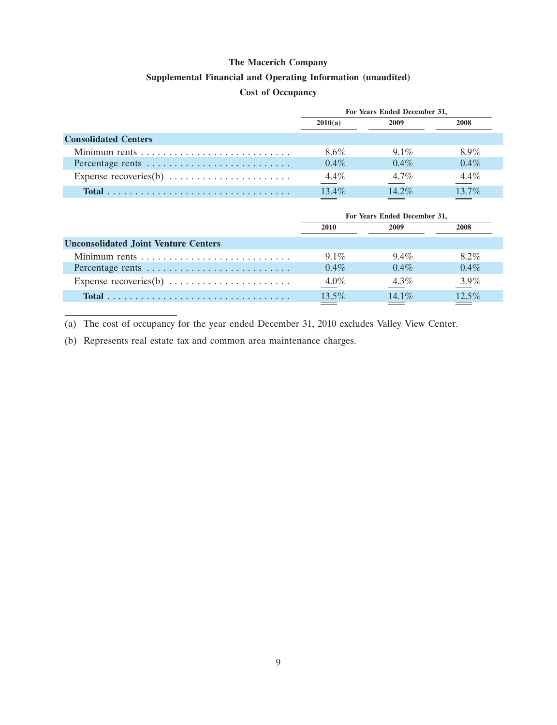#### **Supplemental Financial and Operating Information (unaudited)**

### **Cost of Occupancy**

|                             | For Years Ended December 31, |          |          |  |
|-----------------------------|------------------------------|----------|----------|--|
|                             | 2010(a)                      | 2009     | 2008     |  |
| <b>Consolidated Centers</b> |                              |          |          |  |
|                             | 8.6%                         | $9.1\%$  | 8.9%     |  |
| Percentage rents            | $0.4\%$                      | $0.4\%$  | $0.4\%$  |  |
|                             | $4.4\%$                      | $4.7\%$  | $4.4\%$  |  |
|                             | $13.4\%$                     | $14.2\%$ | $13.7\%$ |  |

| 2008                     |
|--------------------------|
|                          |
|                          |
| $8.2\%$<br>$9.4\%$       |
| $0.4\%$<br>$0.4\%$       |
| $3.9\%$<br>$4.3\%$       |
| $12.5\%$<br>14 $1\%$     |
| <b>Contract Contract</b> |

(a) The cost of occupancy for the year ended December 31, 2010 excludes Valley View Center.

(b) Represents real estate tax and common area maintenance charges.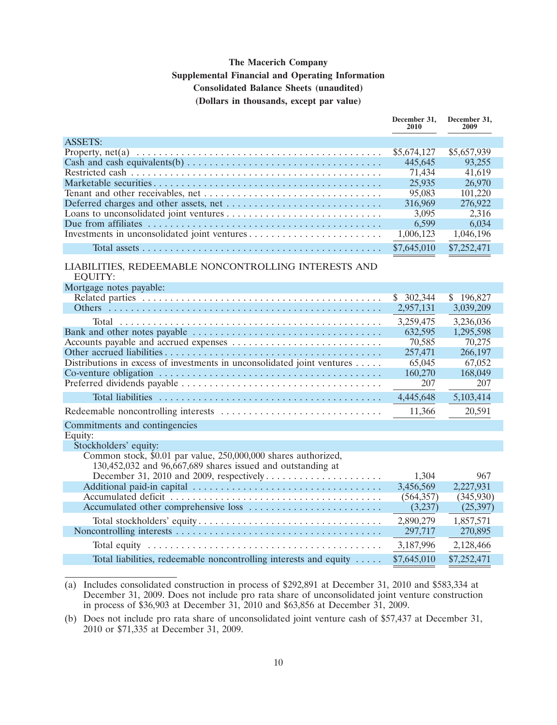## **The Macerich Company Supplemental Financial and Operating Information Consolidated Balance Sheets (unaudited) (Dollars in thousands, except par value)**

|                                                                                                        | December 31,<br>2010 | December 31,<br>2009 |
|--------------------------------------------------------------------------------------------------------|----------------------|----------------------|
| <b>ASSETS:</b>                                                                                         |                      |                      |
|                                                                                                        | \$5,674,127          | \$5,657,939          |
| Cash and cash equivalents(b) $\dots \dots \dots \dots \dots \dots \dots \dots \dots \dots \dots \dots$ | 445,645              | 93,255               |
|                                                                                                        | 71,434               | 41,619               |
|                                                                                                        | 25,935               | 26,970               |
|                                                                                                        | 95,083               | 101,220              |
|                                                                                                        | 316,969              | 276,922              |
|                                                                                                        | 3,095                | 2,316                |
|                                                                                                        | 6,599                | 6,034                |
|                                                                                                        | 1,006,123            | 1,046,196            |
|                                                                                                        | \$7,645,010          | \$7,252,471          |
| LIABILITIES, REDEEMABLE NONCONTROLLING INTERESTS AND<br><b>EQUITY:</b>                                 |                      |                      |
| Mortgage notes payable:                                                                                |                      |                      |
|                                                                                                        | \$302,344            | \$196,827            |
|                                                                                                        | 2,957,131            | 3,039,209            |
|                                                                                                        | 3,259,475            | 3,236,036            |
|                                                                                                        | 632,595              | 1,295,598            |
|                                                                                                        | 70,585               | 70,275               |
|                                                                                                        | 257,471              | 266,197              |
| Distributions in excess of investments in unconsolidated joint ventures                                | 65,045               | 67,052               |
|                                                                                                        | 160,270<br>207       | 168,049<br>207       |
|                                                                                                        |                      |                      |
|                                                                                                        | 4,445,648            | 5,103,414            |
|                                                                                                        | 11,366               | 20,591               |
| Commitments and contingencies                                                                          |                      |                      |
| Equity:<br>Stockholders' equity:                                                                       |                      |                      |
| Common stock, \$0.01 par value, 250,000,000 shares authorized,                                         |                      |                      |
| 130,452,032 and 96,667,689 shares issued and outstanding at                                            |                      |                      |
|                                                                                                        | 1,304                | 967                  |
|                                                                                                        | 3,456,569            | 2,227,931            |
|                                                                                                        | (564, 357)           | (345,930)            |
|                                                                                                        | (3,237)              | (25, 397)            |
|                                                                                                        | 2,890,279            | 1,857,571            |
|                                                                                                        | 297,717              | 270,895              |
|                                                                                                        | 3,187,996            | 2,128,466            |
| Total liabilities, redeemable noncontrolling interests and equity                                      | \$7,645,010          | \$7,252,471          |

<sup>(</sup>a) Includes consolidated construction in process of \$292,891 at December 31, 2010 and \$583,334 at December 31, 2009. Does not include pro rata share of unconsolidated joint venture construction in process of \$36,903 at December 31, 2010 and \$63,856 at December 31, 2009.

<sup>(</sup>b) Does not include pro rata share of unconsolidated joint venture cash of \$57,437 at December 31, 2010 or \$71,335 at December 31, 2009.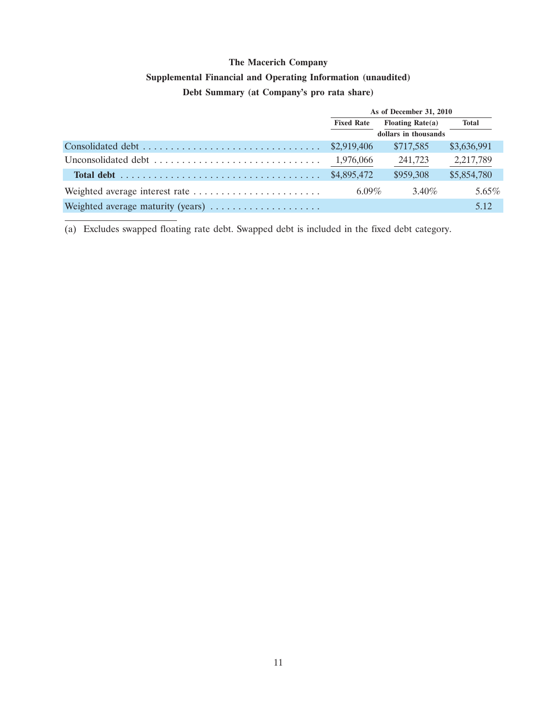## **Supplemental Financial and Operating Information (unaudited)**

## **Debt Summary (at Company's pro rata share)**

|                                   | As of December 31, 2010 |                      |             |
|-----------------------------------|-------------------------|----------------------|-------------|
|                                   | <b>Fixed Rate</b>       | Floating Rate $(a)$  | Total       |
|                                   |                         | dollars in thousands |             |
|                                   | \$2,919,406             | \$717,585            | \$3,636,991 |
| Unconsolidated debt               | 1,976,066               | 241,723              | 2,217,789   |
|                                   | \$4,895,472             | \$959,308            | \$5,854,780 |
|                                   | 6.09%                   | $3.40\%$             | $5.65\%$    |
| Weighted average maturity (years) |                         |                      | 5.12        |

(a) Excludes swapped floating rate debt. Swapped debt is included in the fixed debt category.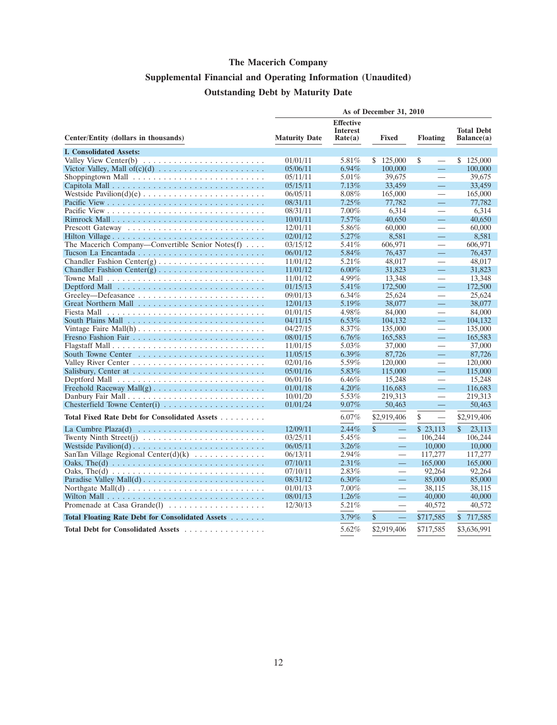# **Supplemental Financial and Operating Information (Unaudited) Outstanding Debt by Maturity Date**

|                                                                                      | As of December 31, 2010 |                                                |                                 |                                |                                 |
|--------------------------------------------------------------------------------------|-------------------------|------------------------------------------------|---------------------------------|--------------------------------|---------------------------------|
| Center/Entity (dollars in thousands)                                                 | <b>Maturity Date</b>    | <b>Effective</b><br><b>Interest</b><br>Rate(a) | <b>Fixed</b>                    | <b>Floating</b>                | <b>Total Debt</b><br>Balance(a) |
| <b>I. Consolidated Assets:</b>                                                       |                         |                                                |                                 |                                |                                 |
|                                                                                      | 01/01/11                | 5.81%                                          | \$125,000                       | \$<br>$\qquad \qquad$          | \$125,000                       |
|                                                                                      | 05/06/11                | $6.94\%$                                       | 100,000                         | $\equiv$                       | 100,000                         |
|                                                                                      | 05/11/11                | 5.01%                                          | 39,675                          | $\qquad \qquad$                | 39,675                          |
|                                                                                      | 05/15/11                | 7.13%                                          | 33,459                          | $\equiv$                       | 33,459                          |
|                                                                                      | 06/05/11                | 8.08%                                          | 165,000                         |                                | 165,000                         |
|                                                                                      | 08/31/11                | 7.25%                                          | 77,782                          | $\equiv$                       | 77,782                          |
|                                                                                      | 08/31/11                | $7.00\%$                                       | 6,314                           | $\qquad \qquad$                | 6.314                           |
| Rimrock Mall                                                                         | 10/01/11                | 7.57%                                          | 40.650                          | 二                              | 40.650                          |
|                                                                                      | 12/01/11                | 5.86%                                          | 60,000                          |                                | 60,000                          |
| Hilton Village                                                                       | 02/01/12                | 5.27%                                          | 8,581                           | $\equiv$                       | 8,581                           |
| The Macerich Company—Convertible Senior Notes(f)                                     | 03/15/12                | 5.41%                                          | 606,971                         | $\qquad \qquad$                | 606,971                         |
|                                                                                      | 06/01/12                | 5.84%                                          | 76,437                          | 二                              | 76,437                          |
|                                                                                      | 11/01/12                | 5.21%                                          | 48,017                          |                                | 48,017                          |
|                                                                                      | 11/01/12                | $6.00\%$                                       | 31,823                          | $\equiv$                       | 31,823                          |
|                                                                                      | 11/01/12                | 4.99%                                          | 13,348                          |                                | 13,348                          |
|                                                                                      | 01/15/13                | 5.41%                                          | 172,500                         | $\equiv$                       | 172,500                         |
|                                                                                      | 09/01/13                | $6.34\%$                                       | 25,624                          |                                | 25.624                          |
|                                                                                      | 12/01/13                | 5.19%                                          | 38,077                          | $\equiv$                       | 38,077                          |
|                                                                                      | 01/01/15                | 4.98%                                          | 84,000                          |                                | 84,000                          |
|                                                                                      | 04/11/15                | $6.53\%$                                       | 104,132                         | $\equiv$                       | 104,132                         |
| Vintage Faire Mall(h) $\ldots \ldots \ldots \ldots \ldots \ldots \ldots$             | 04/27/15                | $8.37\%$                                       | 135,000                         |                                | 135,000                         |
|                                                                                      | 08/01/15                | $6.76\%$                                       | 165,583                         | $\equiv$                       | 165,583                         |
|                                                                                      | 11/01/15                | 5.03%                                          | 37,000                          |                                | 37,000                          |
|                                                                                      | 11/05/15                | $6.39\%$                                       | 87,726                          | $\equiv$                       | 87,726                          |
|                                                                                      | 02/01/16                | 5.59%                                          | 120,000                         | $\qquad \qquad$                | 120,000                         |
|                                                                                      | 05/01/16                | 5.83%                                          | 115,000                         | $\equiv$                       | 115,000                         |
|                                                                                      | 06/01/16                | $6.46\%$                                       | 15,248                          |                                | 15,248                          |
|                                                                                      | 01/01/18                | 4.20%                                          | 116,683                         | $\equiv$                       | 116,683                         |
| Danbury Fair Mall                                                                    | 10/01/20                | 5.53%                                          | 219,313                         |                                | 219,313                         |
| Chesterfield Towne Center(i) $\ldots \ldots \ldots \ldots \ldots \ldots$             | 01/01/24                | 9.07%                                          | 50,463                          | $\qquad \qquad -$              | 50,463                          |
| Total Fixed Rate Debt for Consolidated Assets                                        |                         | $6.07\%$                                       | \$2,919,406                     | \$<br>$\overline{\phantom{0}}$ | \$2,919,406                     |
|                                                                                      | 12/09/11                | 2.44%                                          | $\mathcal{S}$<br>$\equiv$       | \$23,113                       | $\mathbb{S}$<br>23,113          |
| Twenty Ninth Street(j) $\ldots \ldots \ldots \ldots \ldots \ldots \ldots \ldots$     | 03/25/11                | 5.45%                                          | $\overline{\phantom{0}}$        | 106,244                        | 106,244                         |
|                                                                                      | 06/05/11                | $3.26\%$                                       | $\qquad \qquad -$               | 10,000                         | 10,000                          |
| SanTan Village Regional Center(d)(k) $\ldots \ldots \ldots \ldots$                   | 06/13/11                | 2.94%                                          |                                 | 117,277                        | 117,277                         |
| Oaks, The(d) $\dots \dots \dots \dots \dots \dots \dots \dots \dots \dots \dots$     | 07/10/11                | 2.31%                                          | $\equiv$                        | 165,000                        | 165,000                         |
| Oaks, The(d) $\ldots \ldots \ldots \ldots \ldots \ldots \ldots \ldots \ldots \ldots$ | 07/10/11                | $2.83\%$                                       | $\overbrace{\phantom{1232211}}$ | 92,264                         | 92,264                          |
|                                                                                      | 08/31/12                | $6.30\%$                                       | $\equiv$                        | 85,000                         | 85,000                          |
|                                                                                      | 01/01/13                | $7.00\%$                                       |                                 | 38,115                         | 38.115                          |
|                                                                                      | 08/01/13                | 1.26%                                          | $\equiv$                        | 40,000                         | 40,000                          |
| Promenade at Casa Grande(1) $\dots \dots \dots \dots \dots \dots$                    | 12/30/13                | 5.21%                                          | $\overline{\phantom{0}}$        | 40,572                         | 40,572                          |
| Total Floating Rate Debt for Consolidated Assets                                     |                         | $3.79\%$                                       | \$<br>$\equiv$                  | \$717,585                      | \$ 717,585                      |
| Total Debt for Consolidated Assets                                                   |                         | 5.62%                                          | \$2,919,406                     | \$717,585                      | \$3,636,991                     |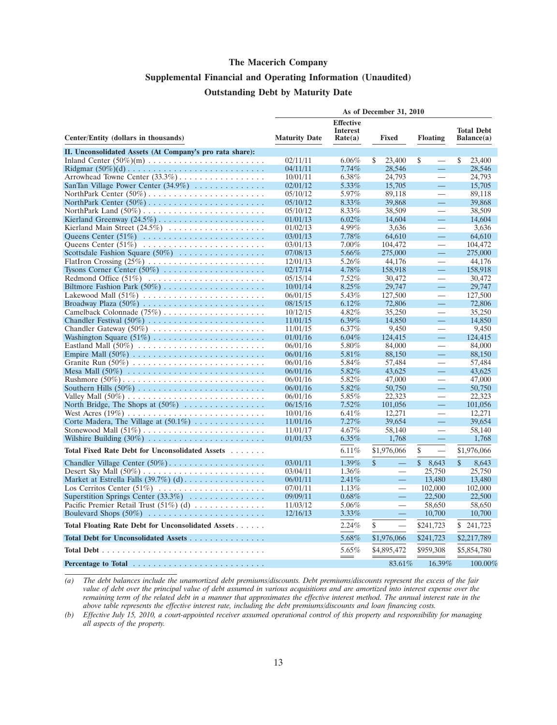## **Supplemental Financial and Operating Information (Unaudited) Outstanding Debt by Maturity Date**

|                                                                          | As of December 31, 2010 |                                     |                                                |                                      |                       |  |
|--------------------------------------------------------------------------|-------------------------|-------------------------------------|------------------------------------------------|--------------------------------------|-----------------------|--|
|                                                                          |                         | <b>Effective</b><br><b>Interest</b> |                                                |                                      | <b>Total Debt</b>     |  |
| Center/Entity (dollars in thousands)                                     | <b>Maturity Date</b>    | Rate(a)                             | <b>Fixed</b>                                   | <b>Floating</b>                      | Balance(a)            |  |
| II. Unconsolidated Assets (At Company's pro rata share):                 |                         |                                     |                                                |                                      |                       |  |
|                                                                          | 02/11/11                | $6.06\%$                            | \$<br>23,400                                   | \$<br>$\qquad \qquad$                | \$<br>23,400          |  |
|                                                                          | 04/11/11                | 7.74%                               | 28,546                                         | $\qquad \qquad \qquad -$             | 28,546                |  |
|                                                                          | 10/01/11                | 6.38%                               | 24,793                                         | $\overline{\phantom{0}}$             | 24,793                |  |
| SanTan Village Power Center (34.9%)                                      | 02/01/12                | $5.33\%$                            | 15,705                                         | $\equiv$                             | 15,705                |  |
|                                                                          | 05/10/12                | 5.97%                               | 89,118                                         | $\qquad \qquad$                      | 89,118                |  |
|                                                                          | 05/10/12                | 8.33%                               | 39,868                                         | $\equiv$                             | 39,868                |  |
|                                                                          | 05/10/12                | 8.33%                               | 38,509                                         | $\overline{\phantom{0}}$             | 38,509                |  |
|                                                                          | 01/01/13                | 6.02%                               | 14,604                                         | $\qquad \qquad -$                    | 14,604                |  |
| Kierland Main Street $(24.5\%)$                                          | 01/02/13                | 4.99%                               | 3,636                                          |                                      | 3,636                 |  |
| Queens Center $(51\%)$                                                   | 03/01/13                | $7.78\%$                            | 64,610                                         | $\equiv$                             | 64,610                |  |
|                                                                          | 03/01/13                | $7.00\%$                            | 104,472                                        | $\qquad \qquad$                      | 104,472               |  |
| Scottsdale Fashion Square $(50\%)$                                       | 07/08/13                | 5.66%                               | 275,000                                        | $\equiv$                             | 275,000               |  |
|                                                                          | 12/01/13                | 5.26%                               | 44,176                                         |                                      | 44.176                |  |
| Tysons Corner Center $(50\%)$                                            | 02/17/14                | 4.78%                               | 158,918                                        | $\equiv$                             | 158,918               |  |
|                                                                          | 05/15/14                | $7.52\%$                            | 30.472                                         |                                      | 30.472                |  |
|                                                                          | 10/01/14                | 8.25%                               | 29,747                                         | 二                                    | 29,747                |  |
|                                                                          | 06/01/15                | 5.43%                               | 127,500                                        |                                      | 127,500               |  |
|                                                                          | 08/15/15                | 6.12%                               | 72,806                                         | $\equiv$                             | 72,806                |  |
| Camelback Colonnade $(75\%)$                                             | 10/12/15                | 4.82%                               | 35,250                                         |                                      | 35,250                |  |
|                                                                          | 11/01/15                | $6.39\%$                            | 14,850                                         | $\equiv$                             | 14,850                |  |
|                                                                          | 11/01/15                | 6.37%                               | 9,450                                          |                                      | 9.450                 |  |
|                                                                          | 01/01/16                | $6.04\%$                            | 124,415                                        | $\qquad \qquad -$                    | 124,415               |  |
|                                                                          | 06/01/16                | 5.80%                               | 84,000                                         |                                      | 84,000                |  |
|                                                                          | 06/01/16                | $5.81\%$                            | 88,150                                         | $\equiv$                             | 88,150                |  |
|                                                                          | 06/01/16                | 5.84%                               | 57.484                                         |                                      | 57,484                |  |
|                                                                          | 06/01/16                | $5.82\%$                            | 43.625                                         | $\qquad \qquad \qquad -$             | 43,625                |  |
| Rushmore $(50\%)$                                                        | 06/01/16                | 5.82%                               | 47,000                                         | $\overline{\phantom{0}}$             | 47,000                |  |
|                                                                          | 06/01/16                | 5.82%                               | 50,750                                         | $\qquad \qquad -$                    | 50,750                |  |
|                                                                          | 06/01/16                | 5.85%                               | 22,323                                         | $\qquad \qquad$<br>二                 | 22,323                |  |
| North Bridge, The Shops at $(50\%)$                                      | 06/15/16                | 7.52%                               | 101,056                                        | $\frac{1}{2}$                        | 101,056               |  |
|                                                                          | 10/01/16                | 6.41%                               | 12,271                                         | $\equiv$                             | 12,271                |  |
| Corte Madera, The Village at $(50.1\%)$                                  | 11/01/16                | 7.27%                               | 39,654                                         |                                      | 39,654                |  |
|                                                                          | 11/01/17                | 4.67%                               | 58,140                                         |                                      | 58,140                |  |
|                                                                          | 01/01/33                | $6.35\%$                            | 1,768                                          | $\overline{\phantom{m}}$             | 1,768                 |  |
| <b>Total Fixed Rate Debt for Unconsolidated Assets</b><br>in a share and |                         | 6.11%                               | \$1,976,066                                    | \$<br>$\overbrace{\phantom{123321}}$ | \$1,976,066           |  |
|                                                                          | 03/01/11                | 1.39%                               | $\mathbf{\hat{s}}$<br>$\overline{\phantom{0}}$ | $\mathbb{S}$<br>8,643                | $\mathbb{S}$<br>8,643 |  |
|                                                                          | 03/04/11                | $1.36\%$                            |                                                | 25,750                               | 25,750                |  |
|                                                                          | 06/01/11                | 2.41%                               | $\equiv$                                       | 13,480                               | 13,480                |  |
|                                                                          | 07/01/11                | $1.13\%$                            | $\overline{\phantom{m}}$                       | 102,000                              | 102,000               |  |
| Superstition Springs Center $(33.3\%)$                                   | 09/09/11                | $0.68\%$                            |                                                | 22,500                               | 22,500                |  |
| Pacific Premier Retail Trust $(51\%)$ (d)                                | 11/03/12                | $5.06\%$                            | $\overline{\phantom{0}}$                       | 58,650                               | 58,650                |  |
| Boulevard Shops (50%)                                                    | 12/16/13                | $3.33\%$                            |                                                | 10,700                               | 10,700                |  |
| Total Floating Rate Debt for Unconsolidated Assets                       |                         | 2.24%                               | \$<br>$\overline{\phantom{0}}$                 | \$241,723                            | S.<br>241,723         |  |
| Total Debt for Unconsolidated Assets                                     |                         | 5.68%                               | \$1,976,066                                    | \$241,723                            | \$2,217,789           |  |
|                                                                          |                         | 5.65%                               | \$4,895,472                                    | \$959,308                            | \$5,854,780           |  |
|                                                                          |                         |                                     | 83.61%                                         | 16.39%                               | 100.00%               |  |

*(a) The debt balances include the unamortized debt premiums/discounts. Debt premiums/discounts represent the excess of the fair value of debt over the principal value of debt assumed in various acquisitions and are amortized into interest expense over the remaining term of the related debt in a manner that approximates the effective interest method. The annual interest rate in the above table represents the effective interest rate, including the debt premiums/discounts and loan financing costs.*

*(b) Effective July 15, 2010, a court-appointed receiver assumed operational control of this property and responsibility for managing all aspects of the property.*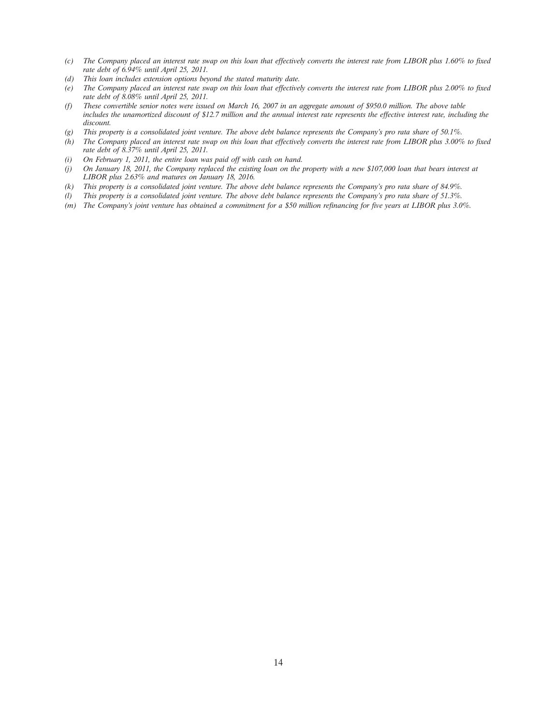- *(c) The Company placed an interest rate swap on this loan that effectively converts the interest rate from LIBOR plus 1.60% to fixed rate debt of 6.94% until April 25, 2011.*
- *(d) This loan includes extension options beyond the stated maturity date.*
- *(e) The Company placed an interest rate swap on this loan that effectively converts the interest rate from LIBOR plus 2.00% to fixed rate debt of 8.08% until April 25, 2011.*
- *(f) These convertible senior notes were issued on March 16, 2007 in an aggregate amount of \$950.0 million. The above table includes the unamortized discount of \$12.7 million and the annual interest rate represents the effective interest rate, including the discount.*
- *(g) This property is a consolidated joint venture. The above debt balance represents the Company's pro rata share of 50.1%.*
- *(h) The Company placed an interest rate swap on this loan that effectively converts the interest rate from LIBOR plus 3.00% to fixed rate debt of 8.37% until April 25, 2011.*
- *(i) On February 1, 2011, the entire loan was paid off with cash on hand.*
- *(j) On January 18, 2011, the Company replaced the existing loan on the property with a new \$107,000 loan that bears interest at LIBOR plus 2.63% and matures on January 18, 2016.*
- *(k) This property is a consolidated joint venture. The above debt balance represents the Company's pro rata share of 84.9%.*
- *(l) This property is a consolidated joint venture. The above debt balance represents the Company's pro rata share of 51.3%.*
- *(m) The Company's joint venture has obtained a commitment for a \$50 million refinancing for five years at LIBOR plus 3.0%.*